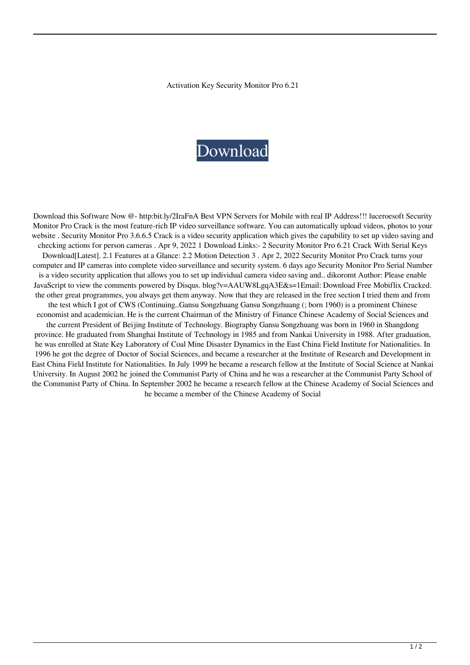Activation Key Security Monitor Pro 6.21

## [Download](https://bytlly.com/2l14yt)

Download this Software Now @- http:bit.ly/2IraFnA Best VPN Servers for Mobile with real IP Address!!! luceroesoft Security Monitor Pro Crack is the most feature-rich IP video surveillance software. You can automatically upload videos, photos to your website . Security Monitor Pro 3.6.6.5 Crack is a video security application which gives the capability to set up video saving and checking actions for person cameras . Apr 9, 2022 1 Download Links:- 2 Security Monitor Pro 6.21 Crack With Serial Keys Download[Latest]. 2.1 Features at a Glance: 2.2 Motion Detection 3 . Apr 2, 2022 Security Monitor Pro Crack turns your computer and IP cameras into complete video surveillance and security system. 6 days ago Security Monitor Pro Serial Number is a video security application that allows you to set up individual camera video saving and.. dikoromt Author: Please enable JavaScript to view the comments powered by Disqus. blog?v=AAUW8LgqA3E&s=1Email: Download Free Mobiflix Cracked. the other great programmes, you always get them anyway. Now that they are released in the free section I tried them and from the test which I got of CWS (Continuing..Gansu Songzhuang Gansu Songzhuang (; born 1960) is a prominent Chinese economist and academician. He is the current Chairman of the Ministry of Finance Chinese Academy of Social Sciences and the current President of Beijing Institute of Technology. Biography Gansu Songzhuang was born in 1960 in Shangdong province. He graduated from Shanghai Institute of Technology in 1985 and from Nankai University in 1988. After graduation, he was enrolled at State Key Laboratory of Coal Mine Disaster Dynamics in the East China Field Institute for Nationalities. In 1996 he got the degree of Doctor of Social Sciences, and became a researcher at the Institute of Research and Development in East China Field Institute for Nationalities. In July 1999 he became a research fellow at the Institute of Social Science at Nankai University. In August 2002 he joined the Communist Party of China and he was a researcher at the Communist Party School of the Communist Party of China. In September 2002 he became a research fellow at the Chinese Academy of Social Sciences and he became a member of the Chinese Academy of Social